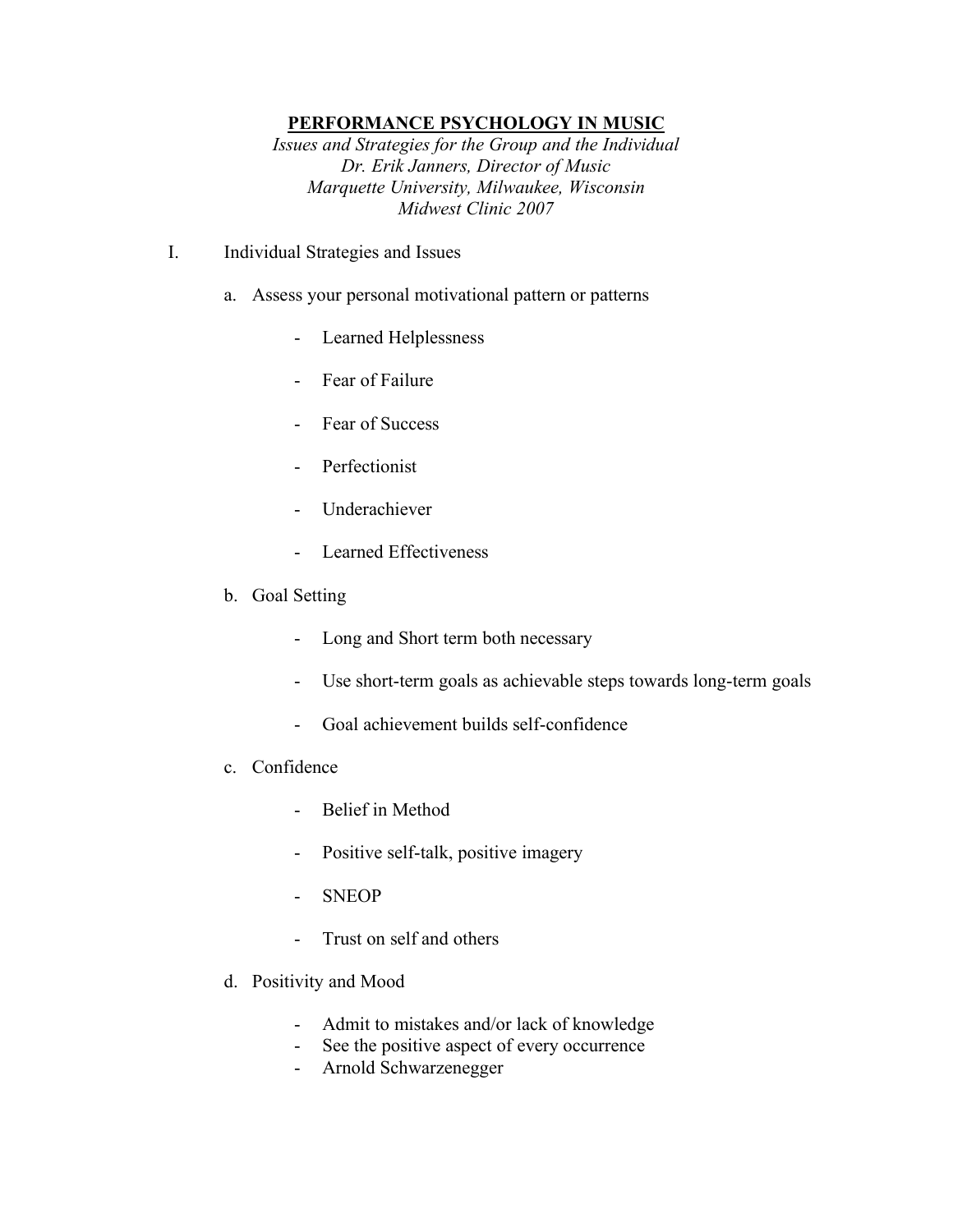## **PERFORMANCE PSYCHOLOGY IN MUSIC**

*Issues and Strategies for the Group and the Individual Dr. Erik Janners, Director of Music Marquette University, Milwaukee, Wisconsin Midwest Clinic 2007*

- I. Individual Strategies and Issues
	- a. Assess your personal motivational pattern or patterns
		- Learned Helplessness
		- Fear of Failure
		- Fear of Success
		- Perfectionist
		- Underachiever
		- Learned Effectiveness
	- b. Goal Setting
		- Long and Short term both necessary
		- Use short-term goals as achievable steps towards long-term goals
		- Goal achievement builds self-confidence
	- c. Confidence
		- Belief in Method
		- Positive self-talk, positive imagery
		- SNEOP
		- Trust on self and others
	- d. Positivity and Mood
		- Admit to mistakes and/or lack of knowledge
		- See the positive aspect of every occurrence
		- Arnold Schwarzenegger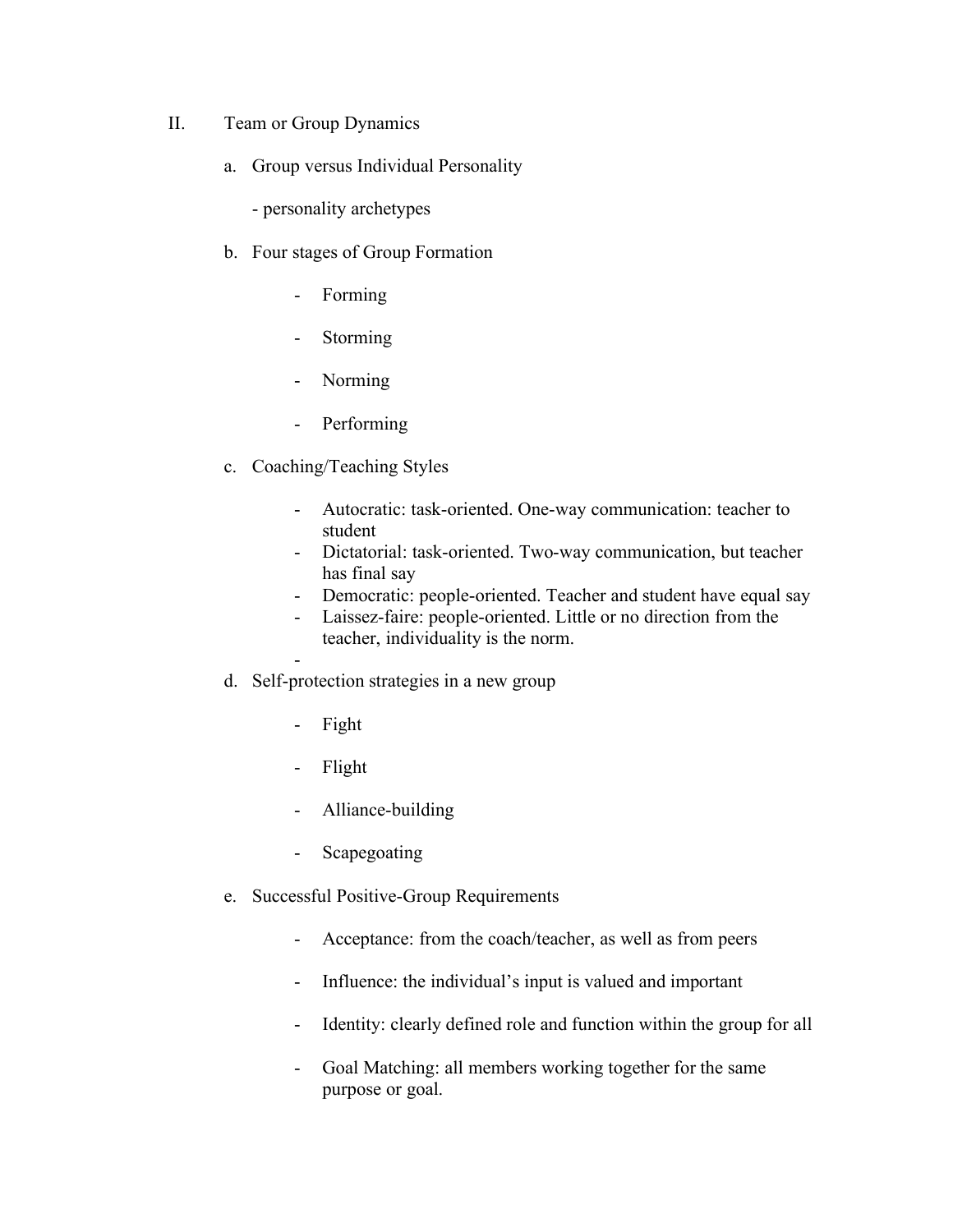- II. Team or Group Dynamics
	- a. Group versus Individual Personality
		- personality archetypes
	- b. Four stages of Group Formation
		- Forming
		- Storming
		- Norming
		- Performing
	- c. Coaching/Teaching Styles
		- Autocratic: task-oriented. One-way communication: teacher to student
		- Dictatorial: task-oriented. Two-way communication, but teacher has final say
		- Democratic: people-oriented. Teacher and student have equal say
		- Laissez-faire: people-oriented. Little or no direction from the teacher, individuality is the norm.
		- -
	- d. Self-protection strategies in a new group
		- Fight
		- Flight
		- Alliance-building
		- Scapegoating
	- e. Successful Positive-Group Requirements
		- Acceptance: from the coach/teacher, as well as from peers
		- Influence: the individual's input is valued and important
		- Identity: clearly defined role and function within the group for all
		- Goal Matching: all members working together for the same purpose or goal.